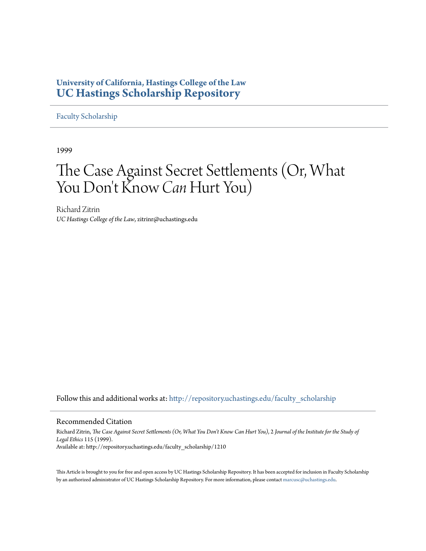# **University of California, Hastings College of the Law [UC Hastings Scholarship Repository](http://repository.uchastings.edu?utm_source=repository.uchastings.edu%2Ffaculty_scholarship%2F1210&utm_medium=PDF&utm_campaign=PDFCoverPages)**

[Faculty Scholarship](http://repository.uchastings.edu/faculty_scholarship?utm_source=repository.uchastings.edu%2Ffaculty_scholarship%2F1210&utm_medium=PDF&utm_campaign=PDFCoverPages)

1999

# The Case Against Secret Settlements (Or, What You Don 't Know *Can*Hurt You)

Richard Zitrin *UC Hastings College of the Law*, zitrinr@uchastings.edu

Follow this and additional works at: [http://repository.uchastings.edu/faculty\\_scholarship](http://repository.uchastings.edu/faculty_scholarship?utm_source=repository.uchastings.edu%2Ffaculty_scholarship%2F1210&utm_medium=PDF&utm_campaign=PDFCoverPages)

# Recommended Citation

Richard Zitrin, *The Case Against Secret Settlements (Or, What You Don't Know Can Hurt You)*, 2 *Journal of the Institute for the Study of Legal Ethics* 115 (1999). Available at: http://repository.uchastings.edu/faculty\_scholarship/1210

This Article is brought to you for free and open access by UC Hastings Scholarship Repository. It has been accepted for inclusion in Faculty Scholarship by an authorized administrator of UC Hastings Scholarship Repository. For more information, please contact [marcusc@uchastings.edu](mailto:marcusc@uchastings.edu).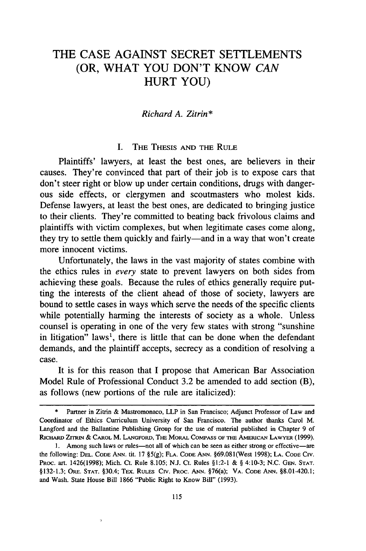# THE CASE AGAINST SECRET SETTLEMENTS (OR, WHAT YOU DON'T KNOW CAN HURT YOU)

# *Richard A. Zitrin\**

# I. THE THESIS AND THE RULE

Plaintiffs' lawyers, at least the best ones, are believers in their causes. They're convinced that part of their job is to expose cars that don't steer right or blow up under certain conditions, drugs with dangerous side effects, or clergymen and scoutmasters who molest kids. Defense lawyers, at least the best ones, are dedicated to bringing justice to their clients. They're committed to beating back frivolous claims and plaintiffs with victim complexes, but when legitimate cases come along, they try to settle them quickly and fairly—and in a way that won't create more innocent victims.

Unfortunately, the laws in the vast majority of states combine with the ethics rules in *every* state to prevent lawyers on both sides from achieving these goals. Because the rules of ethics generally require putting the interests of the client ahead of those of society, lawyers are bound to settle cases in ways which serve the needs of the specific clients while potentially harming the interests of society as a whole. Unless counsel is operating in one of the very few states with strong "sunshine in litigation" laws', there is little that can be done when the defendant demands, and the plaintiff accepts, secrecy as a condition of resolving a case.

It is for this reason that I propose that American Bar Association Model Rule of Professional Conduct 3.2 be amended to add section (B), as follows (new portions of the rule are italicized):

ö

Partner in Zitrin & Mastromonaco, LLP in San Francisco; Adjunct Professor of Law and Coordinator of Ethics Curriculum University of San Francisco. The author thanks Carol M. Langford and the Ballantine Publishing Group for the use of material published in Chapter 9 of RICHARD ZITRIN & CAROL M. LANGFORD, THE MORAL COMPASS OF THE AMERICAN LAWYER (1999).

<sup>1.</sup> Among such laws or rules—not all of which can be seen as either strong or effective—are the following: DEL. **CODE ANN.** tit. 17 §5(g); **FLA. CODE ANN.** §69.081(West 1998); **LA.** CODE CIv. PRoc. art. 1426(1998); Mich. Ct. Rule 8.105; N.J. Ct. Rules §1:2-1 & § 4:10-3; N.C. **GEN. STAT.** §132-1.3; ORE. STAT. §30.4; TEX. RULES CIv. PROC. ANN. §76(a); VA. CODE ANN. §8.01-420.1; and Wash. State House Bill 1866 "Public Right to Know Bill" (1993).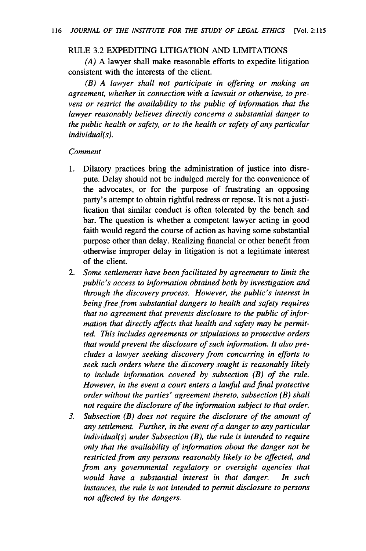### RULE 3.2 EXPEDITING LITIGATION AND LIMITATIONS

*(A)* A lawyer shall make reasonable efforts to expedite litigation consistent with the interests of the client.

*(B) A lawyer shall not participate in offering or making an agreement, whether in connection with a lawsuit or otherwise, to prevent or restrict the availability to the public of information that the lawyer reasonably believes directly concerns a substantial danger to the public health or safety, or to the health or safety of any particular individual(s).*

#### *Comment*

- 1. Dilatory practices bring the administration of justice into disrepute. Delay should not be indulged merely for the convenience of the advocates, or for the purpose of frustrating an opposing party's attempt to obtain rightful redress or repose. It is not a justification that similar conduct is often tolerated by the bench and bar. The question is whether a competent lawyer acting in good faith would regard the course of action as having some substantial purpose other than delay. Realizing financial or other benefit from otherwise improper delay in litigation is not a legitimate interest of the client.
- 2. *Some settlements have been facilitated by agreements to limit the public's access to information obtained both by investigation and through the discovery process. However, the public's interest in being free from substantial dangers to health and safety requires that no agreement that prevents disclosure to the public of information that directly affects that health and safety may be permitted. This includes agreements or stipulations to protective orders that would prevent the disclosure of such information. It also precludes a lawyer seeking discovery from concurring in efforts to seek such orders where the discovery sought is reasonably likely to include information covered by subsection (B) of the rule. However, in the event a court enters a lawful and final protective order without the parties' agreement thereto, subsection (B) shall not require the disclosure of the information subject to that order.*
- *3. Subsection (B) does not require the disclosure of the amount of any settlement. Further, in the event of a danger to any particular individual(s) under Subsection (B), the rule is intended to require only that the availability of information about the danger not be restricted from any persons reasonably likely to be affected, and from any governmental regulatory or oversight agencies that would have a substantial interest in that danger. In such instances, the rule is not intended to permit disclosure to persons not affected by the dangers.*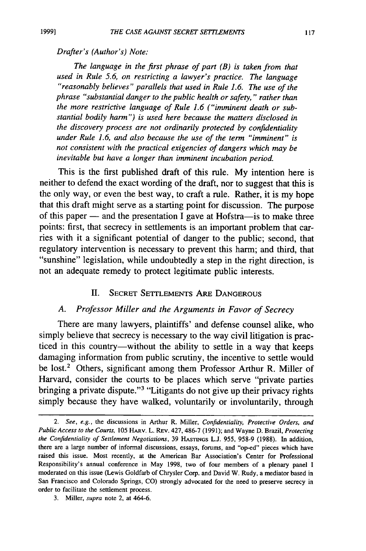#### *Drafter's (Author's) Note:*

*The language in the first phrase of part (B) is taken from that used in Rule 5.6, on restricting a lawyer's practice. The language "reasonably believes" parallels that used in Rule 1.6. The use of the phrase "substantial danger to the public health or safety," rather than the more restrictive language of Rule 1.6 ("imminent death or substantial bodily harm") is used here because the matters disclosed in the discovery process are not ordinarily protected by confidentiality under Rule 1.6, and also because the use of the term "imminent" is not consistent with the practical exigencies of dangers which may be inevitable but have a longer than imminent incubation period.*

This is the first published draft of this rule. My intention here is neither to defend the exact wording of the draft, nor to suggest that this is the only way, or even the best way, to craft a rule. Rather, it is my hope that this draft might serve as a starting point for discussion. The purpose of this paper - and the presentation I gave at Hofstra-is to make three points: first, that secrecy in settlements is an important problem that carries with it a significant potential of danger to the public; second, that regulatory intervention is necessary to prevent this harm; and third, that "sunshine" legislation, while undoubtedly a step in the right direction, is not an adequate remedy to protect legitimate public interests.

# II. SECRET SETTLEMENTS ARE **DANGEROUS**

## *A. Professor Miller and the Arguments in Favor of Secrecy*

There are many lawyers, plaintiffs' and defense counsel alike, who simply believe that secrecy is necessary to the way civil litigation is practiced in this country-without the ability to settle in a way that keeps damaging information from public scrutiny, the incentive to settle would be lost.<sup>2</sup> Others, significant among them Professor Arthur R. Miller of Harvard, consider the courts to be places which serve "private parties bringing a private dispute."<sup>3</sup> "Litigants do not give up their privacy rights simply because they have walked, voluntarily or involuntarily, through

*<sup>2.</sup> See, e.g.,* the discussions in Arthur R. Miller, *Confidentiality, Protective Orders, and Public Access to the Courts,* 105 HARv. L. REv. 427, 486-7 (1991); and Wayne D. Brazil, *Protecting the Confidentiality of Settlement Negotiations,* 39 HASTINGS **L.J. 955, 958-9 (1988).** In addition, there are a large number of informal discussions, essays, forums, and "op-ed" pieces which have raised this issue. Most recently, at the American Bar Association's Center for Professional Responsibility's annual conference in May 1998, two of four members of a plenary panel I moderated on this issue (Lewis Goldfarb of Chrysler Corp. and David W. Rudy, a mediator based in San Francisco and Colorado Springs, **CO)** strongly advocated for the need to preserve secrecy in order to facilitate the settlement process.

<sup>3.</sup> Miller, *supra* note 2, at 464-6.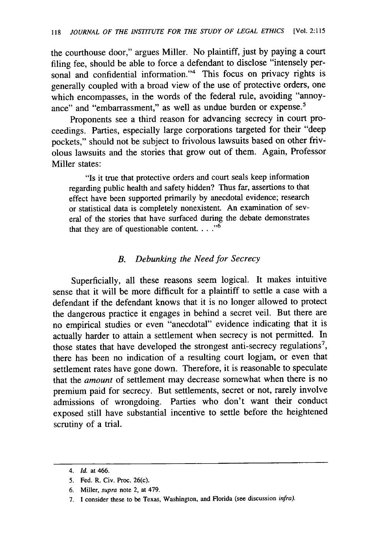the courthouse door," argues Miller. No plaintiff, just by paying a court filing fee, should be able to force a defendant to disclose "intensely personal and confidential information."<sup>4</sup> This focus on privacy rights is generally coupled with a broad view of the use of protective orders, one which encompasses, in the words of the federal rule, avoiding "annoyance" and "embarrassment," as well as undue burden or expense.<sup>5</sup>

Proponents see a third reason for advancing secrecy in court proceedings. Parties, especially large corporations targeted for their "deep pockets," should not be subject to frivolous lawsuits based on other frivolous lawsuits and the stories that grow out of them. Again, Professor Miller states:

"Is it true that protective orders and court seals keep information regarding public health and safety hidden? Thus far, assertions to that effect have been supported primarily by anecdotal evidence; research or statistical data is completely nonexistent. An examination of several of the stories that have surfaced during the debate demonstrates that they are of questionable content.  $\cdots$ <sup>6</sup>

# *B. Debunking the Need for Secrecy*

Superficially, all these reasons seem logical. It makes intuitive sense that it will be more difficult for a plaintiff to settle a case with a defendant if the defendant knows that it is no longer allowed to protect the dangerous practice it engages in behind a secret veil. But there are no empirical studies or even "anecdotal" evidence indicating that it is actually harder to attain a settlement when secrecy is not permitted. In those states that have developed the strongest anti-secrecy regulations<sup>7</sup>, there has been no indication of a resulting court logjam, or even that settlement rates have gone down. Therefore, it is reasonable to speculate that the *amount* of settlement may decrease somewhat when there is no premium paid for secrecy. But settlements, secret or not, rarely involve admissions of wrongdoing. Parties who don't want their conduct exposed still have substantial incentive to settle before the heightened scrutiny of a trial.

<sup>4.</sup> *Id.* at 466.

<sup>5.</sup> Fed. R. Civ. Proc. 26(c).

<sup>6.</sup> Miller, supra note 2, at 479.

<sup>7.</sup> I consider these to be Texas, Washington, and Florida (see discussion infra).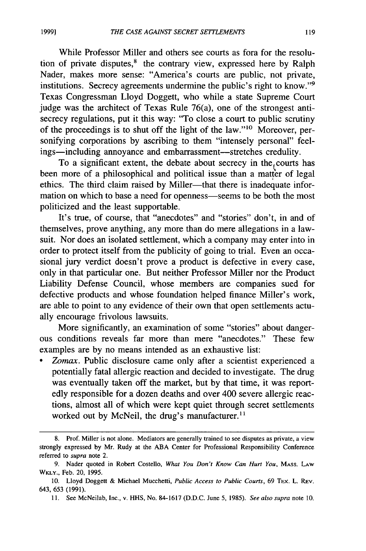While Professor Miller and others see courts as fora for the resolution of private disputes, $8$  the contrary view, expressed here by Ralph Nader, makes more sense: "America's courts are public, not private, institutions. Secrecy agreements undermine the public's right to know."<sup>9</sup> Texas Congressman Lloyd Doggett, who while a state Supreme Court judge was the architect of Texas Rule 76(a), one of the strongest antisecrecy regulations, put it this way: "To close a court to public scrutiny of the proceedings is to shut off the light of the law."<sup>10</sup> Moreover, personifying corporations by ascribing to them "intensely personal" feelings—including annoyance and embarrassment—stretches credulity.

To a significant extent, the debate about secrecy in the courts has been more of a philosophical and political issue than a matter of legal ethics. The third claim raised by Miller—that there is inadequate information on which to base a need for openness—seems to be both the most politicized and the least supportable.

It's true, of course, that "anecdotes" and "stories" don't, in and of themselves, prove anything, any more than do mere allegations in a lawsuit. Nor does an isolated settlement, which a company may enter into in order to protect itself from the publicity of going to trial. Even an occasional jury verdict doesn't prove a product is defective in every case, only in that particular one. But neither Professor Miller nor the Product Liability Defense Council, whose members are companies sued for defective products and whose foundation helped finance Miller's work, are able to point to any evidence of their own that open settlements actually encourage frivolous lawsuits.

More significantly, an examination of some "stories" about dangerous conditions reveals far more than mere "anecdotes." These few examples are by no means intended as an exhaustive list:

Zomax. Public disclosure came only after a scientist experienced a potentially fatal allergic reaction and decided to investigate. The drug was eventually taken off the market, but by that time, it was reportedly responsible for a dozen deaths and over 400 severe allergic reactions, almost all of which were kept quiet through secret settlements worked out by McNeil, the drug's manufacturer.<sup>11</sup>

<sup>8.</sup> Prof. Miller is not alone. Mediators are generally trained to see disputes as private, a view strongly expressed by Mr. Rudy at the ABA Center for Professional Responsibility Conference referred to *supra* note 2.

<sup>9.</sup> Nader quoted in Robert Costello, *What You Don't Know Can Hurt You,* **MASS.** LAW WKLY., Feb. 20, 1995.

<sup>10.</sup> Lloyd Doggett & Michael Mucchetti, Public Access to Public Courts, 69 TEX. L. REV. 643, 653 (1991).

<sup>11.</sup> See McNeilab, Inc., v. HHS, No. 84-1617 (D.D.C. June 5, 1985). *See also supra* note 10.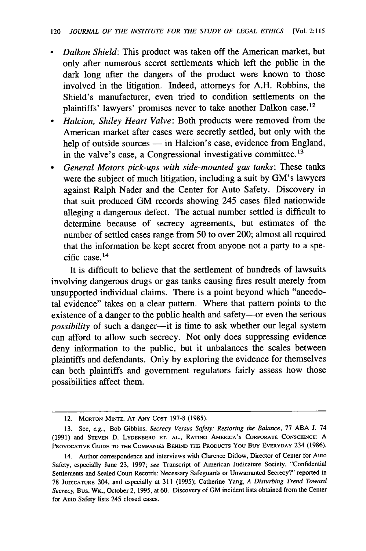- **"** *Dalkon Shield:* This product was taken off the American market, but only after numerous secret settlements which left the public in the dark long after the dangers of the product were known to those involved in the litigation. Indeed, attorneys for A.H. Robbins, the Shield's manufacturer, even tried to condition settlements on the plaintiffs' lawyers' promises never to take another Dalkon case.<sup>12</sup>
- **"** *Halcion, Shiley Heart Valve:* Both products were removed from the American market after cases were secretly settled, but only with the help of outside sources - in Halcion's case, evidence from England, in the valve's case, a Congressional investigative committee.<sup>13</sup>
- *\* General Motors pick-ups with side-mounted gas tanks:* These tanks were the subject of much litigation, including a suit by GM's lawyers against Ralph Nader and the Center for Auto Safety. Discovery in that suit produced GM records showing 245 cases filed nationwide alleging a dangerous defect. The actual number settled is difficult to determine because of secrecy agreements, but estimates of the number of settled cases range from 50 to over 200; almost all required that the information be kept secret from anyone not a party to a specific case. $14$

It is difficult to believe that the settlement of hundreds of lawsuits involving dangerous drugs or gas tanks causing fires result merely from unsupported individual claims. There is a point beyond which "anecdotal evidence" takes on a clear pattern. Where that pattern points to the existence of a danger to the public health and safety-or even the serious *possibility* of such a danger-it is time to ask whether our legal system can afford to allow such secrecy. Not only does suppressing evidence deny information to the public, but it unbalances the scales between plaintiffs and defendants. Only by exploring the evidence for themselves can both plaintiffs and government regulators fairly assess how those possibilities affect them.

<sup>12.</sup> MORTON Mnrz, **AT ANY** COST 197-8 (1985).

<sup>13.</sup> See, *e.g.,* Bob Gibbins, *Secrecy Versus Safety: Restoring the Balance,* 77 ABA J. 74 (1991) and STEVEN **D.** LYDENBERG **ET. AL.,** RATING AMERICA'S CORPORATE CONSCIENCE: A PROVOCATIVE GUIDE TO THE COMPANIES BEHIND THE PRODUCTS YOU BUY EVERYDAY 234 (1986).

<sup>14.</sup> Author correspondence and interviews with Clarence Ditlow, Director of Center for Auto Safety, especially June 23, 1997; *see* Transcript of American Judicature Society, "Confidential Settlements and Sealed Court Records: Necessary Safeguards or Unwarranted Secrecy?" reported in 78 JUDICATURE 304, and especially at 311 (1995); Catherine Yang, *A Disturbing Trend Toward Secrecy,* Bus. WK., October 2, 1995, at 60. Discovery of GM incident lists obtained from the Center for Auto Safety lists 245 closed cases.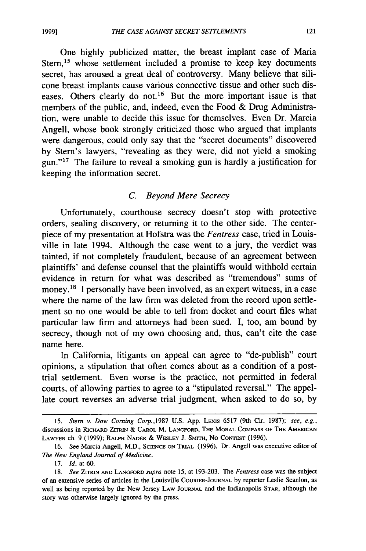One highly publicized matter, the breast implant case of Maria Stern,<sup>15</sup> whose settlement included a promise to keep key documents secret, has aroused a great deal of controversy. Many believe that silicone breast implants cause various connective tissue and other such diseases. Others clearly do not.<sup>16</sup> But the more important issue is that members of the public, and, indeed, even the Food & Drug Administration, were unable to decide this issue for themselves. Even Dr. Marcia Angell, whose book strongly criticized those who argued that implants were dangerous, could only say that the "secret documents" discovered by Stem's lawyers, "revealing as they were, did not yield a smoking gun."<sup>17</sup> The failure to reveal a smoking gun is hardly a justification for keeping the information secret.

# *C. Beyond Mere Secrecy*

Unfortunately, courthouse secrecy doesn't stop with protective orders, sealing discovery, or returning it to the other side. The centerpiece of my presentation at Hofstra was the *Fentress* case, tried in Louisville in late 1994. Although the case went to a jury, the verdict was tainted, if not completely fraudulent, because of an agreement between plaintiffs' and defense counsel that the plaintiffs would withhold certain evidence in return for what was described as "tremendous" sums of money.<sup>18</sup> I personally have been involved, as an expert witness, in a case where the name of the law firm was deleted from the record upon settlement so no one would be able to tell from docket and court files what particular law firm and attorneys had been sued. I, too, am bound by secrecy, though not of my own choosing and, thus, can't cite the case name here.

In California, litigants on appeal can agree to "de-publish" court opinions, a stipulation that often comes about as a condition of a posttrial settlement. Even worse is the practice, not permitted in federal courts, of allowing parties to agree to a "stipulated reversal." The appellate court reverses an adverse trial judgment, when asked to do so, by

<sup>15.</sup> *Stern v. Dow Coming* Corp.,1987 U.S. App. LEXms 6517 (9th Cir. 1987); *see,* e.g., discussions in RICHARD ZrrRIN & CAROL M. LANGFORD, THE MORAL **COMPASS** OF THE AmRicAN LAWYER ch. 9 (1999); RALPH NADER & WESLEY J. SMrrH, No **CONTEST** (1996).

<sup>16.</sup> See Marcia Angell, M.D., SCIENCE **ON** TRIAL (1996). Dr. Angell was executive editor of *The New England Journal of Medicine.*

<sup>17.</sup> **Id.** at 60.

<sup>18.</sup> *See* ZrrRN **AND** LANoFORD *supra* note 15, at 193-203. The *Fentress* case was the subject of an extensive series of articles in the Louisville COURIER-JOURNAL by reporter Leslie Scanlon, as well as being reported by the New Jersey LAW JOURNAL and the Indianapolis **STAR,** although the story was otherwise largely ignored by the press.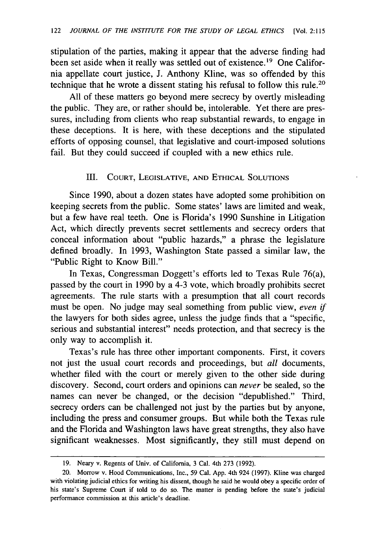stipulation of the parties, making it appear that the adverse finding had been set aside when it really was settled out of existence.<sup>19</sup> One California appellate court justice, J. Anthony Kline, was so offended by this technique that he wrote a dissent stating his refusal to follow this rule.<sup>20</sup>

All of these matters go beyond mere secrecy by overtly misleading the public. They are, or rather should be, intolerable. Yet there are pressures, including from clients who reap substantial rewards, to engage in these deceptions. It is here, with these deceptions and the stipulated efforts of opposing counsel, that legislative and court-imposed solutions fail. But they could succeed if coupled with a new ethics rule.

# III. COURT, LEGISLATIVE, AND ETHICAL SOLUTIONS

Since 1990, about a dozen states have adopted some prohibition on keeping secrets from the public. Some states' laws are limited and weak, but a few have real teeth. One is Florida's 1990 Sunshine in Litigation Act, which directly prevents secret settlements and secrecy orders that conceal information about "public hazards," a phrase the legislature defined broadly. In 1993, Washington State passed a similar law, the "Public Right to Know Bill."

In Texas, Congressman Doggett's efforts led to Texas Rule 76(a), passed by the court in 1990 by a 4-3 vote, which broadly prohibits secret agreements. The rule starts with a presumption that all court records must be open. No judge may seal something from public view, *even* if the lawyers for both sides agree, unless the judge finds that a "specific, serious and substantial interest" needs protection, and that secrecy is the only way to accomplish it.

Texas's rule has three other important components. First, it covers not just the usual court records and proceedings, but *all* documents, whether filed with the court or merely given to the other side during discovery. Second, court orders and opinions can *never* be sealed, so the names can never be changed, or the decision "depublished." Third, secrecy orders can be challenged not just by the parties but by anyone, including the press and consumer groups. But while both the Texas rule and the Florida and Washington laws have great strengths, they also have significant weaknesses. Most significantly, they still must depend on

<sup>19.</sup> Neary v. Regents of Univ. of California, 3 Cal. 4th 273 (1992).

<sup>20.</sup> Morrow v. Hood Communications, Inc., 59 Cal. App. 4th 924 (1997). Kline was charged with violating judicial ethics for writing his dissent, though he said he would obey a specific order of his state's Supreme Court if told to do so. The matter is pending before the state's judicial performance commission at this article's deadline.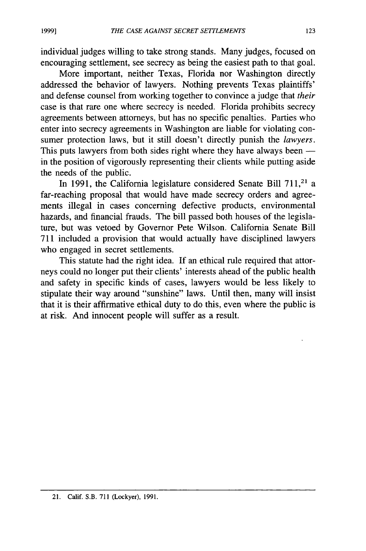individual judges willing to take strong stands. Many judges, focused on encouraging settlement, see secrecy as being the easiest path to that goal.

More important, neither Texas, Florida nor Washington directly addressed the behavior of lawyers. Nothing prevents Texas plaintiffs' and defense counsel from working together to convince a judge that *their* case is that rare one where secrecy is needed. Florida prohibits secrecy agreements between attorneys, but has no specific penalties. Parties who enter into secrecy agreements in Washington are liable for violating consumer protection laws, but it still doesn't directly punish the *lawyers.* This puts lawyers from both sides right where they have always been in the position of vigorously representing their clients while putting aside the needs of the public.

In 1991, the California legislature considered Senate Bill 711,<sup>21</sup> a far-reaching proposal that would have made secrecy orders and agreements illegal in cases concerning defective products, environmental hazards, and financial frauds. The bill passed both houses of the legislature, but was vetoed by Governor Pete Wilson. California Senate Bill 711 included a provision that would actually have disciplined lawyers who engaged in secret settlements.

This statute had the right idea. If an ethical rule required that attorneys could no longer put their clients' interests ahead of the public health and safety in specific kinds of cases, lawyers would be less likely to stipulate their way around "sunshine" laws. Until then, many will insist that it is their affirmative ethical duty to do this, even where the public is at risk. And innocent people will suffer as a result.